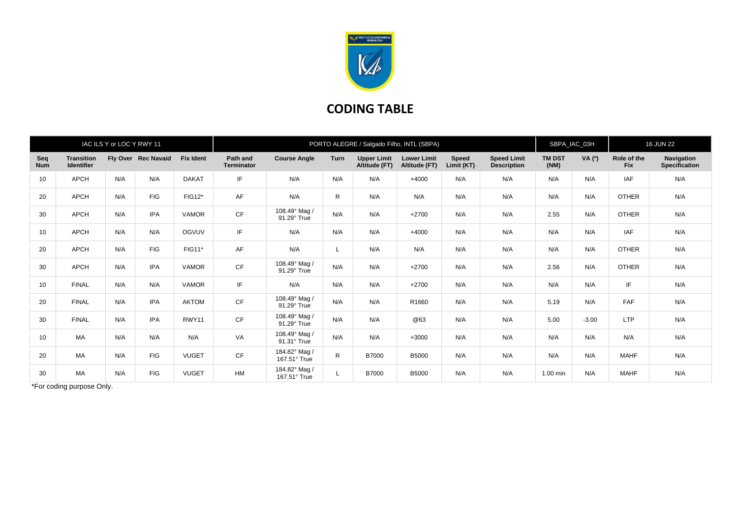

## **CODING TABLE**

|                   |                                        | IAC ILS Y or LOC Y RWY 11 |                     |                  | PORTO ALEGRE / Salgado Filho, INTL (SBPA) |                               |      |                                     |                                     |                            |                                          |                       | SBPA_IAC_03H |                           | <b>16 JUN 22</b>                   |  |
|-------------------|----------------------------------------|---------------------------|---------------------|------------------|-------------------------------------------|-------------------------------|------|-------------------------------------|-------------------------------------|----------------------------|------------------------------------------|-----------------------|--------------|---------------------------|------------------------------------|--|
| Seq<br><b>Num</b> | <b>Transition</b><br><b>Identifier</b> |                           | Fly Over Rec Navaid | <b>Fix Ident</b> | Path and<br><b>Terminator</b>             | <b>Course Angle</b>           | Turn | <b>Upper Limit</b><br>Altitude (FT) | <b>Lower Limit</b><br>Altitude (FT) | <b>Speed</b><br>Limit (KT) | <b>Speed Limit</b><br><b>Description</b> | <b>TM DST</b><br>(NM) | VA (°)       | Role of the<br><b>Fix</b> | Navigation<br><b>Specification</b> |  |
| 10                | <b>APCH</b>                            | N/A                       | N/A                 | <b>DAKAT</b>     | IF                                        | N/A                           | N/A  | N/A                                 | $+4000$                             | N/A                        | N/A                                      | N/A                   | N/A          | <b>IAF</b>                | N/A                                |  |
| 20                | <b>APCH</b>                            | N/A                       | <b>FIG</b>          | FIG12*           | AF                                        | N/A                           | R.   | N/A                                 | N/A                                 | N/A                        | N/A                                      | N/A                   | N/A          | <b>OTHER</b>              | N/A                                |  |
| 30                | <b>APCH</b>                            | N/A                       | <b>IPA</b>          | <b>VAMOR</b>     | CF                                        | 108.49° Mag /<br>91.29° True  | N/A  | N/A                                 | $+2700$                             | N/A                        | N/A                                      | 2.55                  | N/A          | <b>OTHER</b>              | N/A                                |  |
| 10                | <b>APCH</b>                            | N/A                       | N/A                 | OGVUV            | IF                                        | N/A                           | N/A  | N/A                                 | $+4000$                             | N/A                        | N/A                                      | N/A                   | N/A          | <b>IAF</b>                | N/A                                |  |
| 20                | <b>APCH</b>                            | N/A                       | <b>FIG</b>          | FIG11*           | AF                                        | N/A                           | L    | N/A                                 | N/A                                 | N/A                        | N/A                                      | N/A                   | N/A          | <b>OTHER</b>              | N/A                                |  |
| 30                | <b>APCH</b>                            | N/A                       | <b>IPA</b>          | <b>VAMOR</b>     | CF                                        | 108.49° Mag /<br>91.29° True  | N/A  | N/A                                 | $+2700$                             | N/A                        | N/A                                      | 2.56                  | N/A          | <b>OTHER</b>              | N/A                                |  |
| 10                | <b>FINAL</b>                           | N/A                       | N/A                 | <b>VAMOR</b>     | IF                                        | N/A                           | N/A  | N/A                                 | $+2700$                             | N/A                        | N/A                                      | N/A                   | N/A          | IF.                       | N/A                                |  |
| 20                | <b>FINAL</b>                           | N/A                       | <b>IPA</b>          | <b>AKTOM</b>     | <b>CF</b>                                 | 108.49° Mag /<br>91.29° True  | N/A  | N/A                                 | R1660                               | N/A                        | N/A                                      | 5.19                  | N/A          | FAF                       | N/A                                |  |
| 30                | <b>FINAL</b>                           | N/A                       | <b>IPA</b>          | RWY11            | CF                                        | 108.49° Mag /<br>91.29° True  | N/A  | N/A                                 | @63                                 | N/A                        | N/A                                      | 5.00                  | $-3.00$      | <b>LTP</b>                | N/A                                |  |
| 10                | MA                                     | N/A                       | N/A                 | N/A              | VA                                        | 108.49° Mag /<br>91.31° True  | N/A  | N/A                                 | $+3000$                             | N/A                        | N/A                                      | N/A                   | N/A          | N/A                       | N/A                                |  |
| 20                | <b>MA</b>                              | N/A                       | <b>FIG</b>          | <b>VUGET</b>     | CF                                        | 184.82° Mag /<br>167.51° True | R    | <b>B7000</b>                        | <b>B5000</b>                        | N/A                        | N/A                                      | N/A                   | N/A          | <b>MAHF</b>               | N/A                                |  |
| 30                | <b>MA</b>                              | N/A                       | <b>FIG</b>          | <b>VUGET</b>     | <b>HM</b>                                 | 184.82° Mag /<br>167.51° True | L    | <b>B7000</b>                        | <b>B5000</b>                        | N/A                        | N/A                                      | 1.00 min              | N/A          | <b>MAHF</b>               | N/A                                |  |

\*For coding purpose Only.